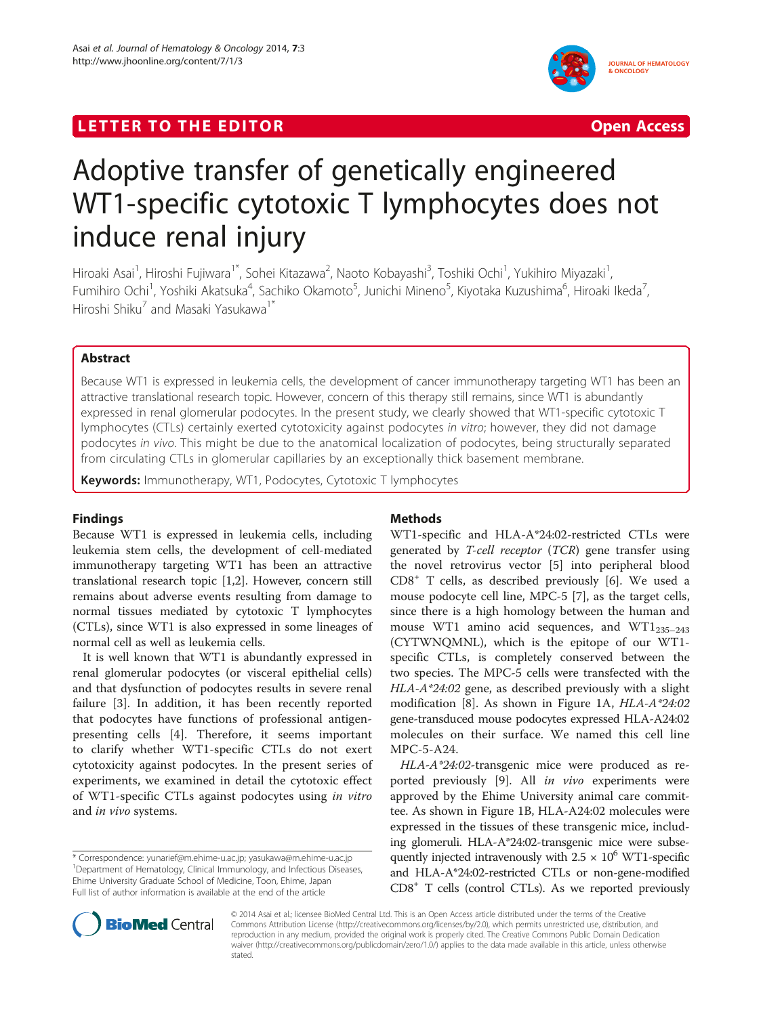## LETTER TO THE EDITOR **CONSIDERING ACCESS** Open Access



# Adoptive transfer of genetically engineered WT1-specific cytotoxic T lymphocytes does not induce renal injury

Hiroaki Asai<sup>1</sup>, Hiroshi Fujiwara<sup>1\*</sup>, Sohei Kitazawa<sup>2</sup>, Naoto Kobayashi<sup>3</sup>, Toshiki Ochi<sup>1</sup>, Yukihiro Miyazaki<sup>1</sup> , Fumihiro Ochi<sup>1</sup>, Yoshiki Akatsuka<sup>4</sup>, Sachiko Okamoto<sup>5</sup>, Junichi Mineno<sup>5</sup>, Kiyotaka Kuzushima<sup>6</sup>, Hiroaki Ikeda<sup>7</sup> , Hiroshi Shiku<sup>7</sup> and Masaki Yasukawa<sup>1\*</sup>

## Abstract

Because WT1 is expressed in leukemia cells, the development of cancer immunotherapy targeting WT1 has been an attractive translational research topic. However, concern of this therapy still remains, since WT1 is abundantly expressed in renal glomerular podocytes. In the present study, we clearly showed that WT1-specific cytotoxic T lymphocytes (CTLs) certainly exerted cytotoxicity against podocytes in vitro; however, they did not damage podocytes in vivo. This might be due to the anatomical localization of podocytes, being structurally separated from circulating CTLs in glomerular capillaries by an exceptionally thick basement membrane.

Keywords: Immunotherapy, WT1, Podocytes, Cytotoxic T lymphocytes

## Findings

Because WT1 is expressed in leukemia cells, including leukemia stem cells, the development of cell-mediated immunotherapy targeting WT1 has been an attractive translational research topic [\[1,2](#page-3-0)]. However, concern still remains about adverse events resulting from damage to normal tissues mediated by cytotoxic T lymphocytes (CTLs), since WT1 is also expressed in some lineages of normal cell as well as leukemia cells.

It is well known that WT1 is abundantly expressed in renal glomerular podocytes (or visceral epithelial cells) and that dysfunction of podocytes results in severe renal failure [\[3](#page-3-0)]. In addition, it has been recently reported that podocytes have functions of professional antigenpresenting cells [[4\]](#page-3-0). Therefore, it seems important to clarify whether WT1-specific CTLs do not exert cytotoxicity against podocytes. In the present series of experiments, we examined in detail the cytotoxic effect of WT1-specific CTLs against podocytes using in vitro and in vivo systems.

\* Correspondence: [yunarief@m.ehime-u.ac.jp;](mailto:yunarief@m.ehime-u.ac.jp) [yasukawa@m.ehime-u.ac.jp](mailto:yasukawa@m.ehime-u.ac.jp) <sup>1</sup> <sup>1</sup>Department of Hematology, Clinical Immunology, and Infectious Diseases, Ehime University Graduate School of Medicine, Toon, Ehime, Japan Full list of author information is available at the end of the article

## Methods

WT1-specific and HLA-A\*24:02-restricted CTLs were generated by *T-cell receptor* (*TCR*) gene transfer using the novel retrovirus vector [[5\]](#page-3-0) into peripheral blood  $CD8<sup>+</sup>$  T cells, as described previously [[6\]](#page-3-0). We used a mouse podocyte cell line, MPC-5 [[7\]](#page-3-0), as the target cells, since there is a high homology between the human and mouse WT1 amino acid sequences, and WT1 $_{235-243}$ (CYTWNQMNL), which is the epitope of our WT1 specific CTLs, is completely conserved between the two species. The MPC-5 cells were transfected with the HLA-A\*24:02 gene, as described previously with a slight modification [[8](#page-3-0)]. As shown in Figure [1](#page-1-0)A, HLA-A\*24:02 gene-transduced mouse podocytes expressed HLA-A24:02 molecules on their surface. We named this cell line MPC-5-A24.

HLA-A\*24:02-transgenic mice were produced as re-ported previously [\[9](#page-3-0)]. All in vivo experiments were approved by the Ehime University animal care committee. As shown in Figure [1](#page-1-0)B, HLA-A24:02 molecules were expressed in the tissues of these transgenic mice, including glomeruli. HLA-A\*24:02-transgenic mice were subsequently injected intravenously with  $2.5 \times 10^6$  WT1-specific and HLA-A\*24:02-restricted CTLs or non-gene-modified CD8+ T cells (control CTLs). As we reported previously



© 2014 Asai et al.; licensee BioMed Central Ltd. This is an Open Access article distributed under the terms of the Creative Commons Attribution License [\(http://creativecommons.org/licenses/by/2.0\)](http://creativecommons.org/licenses/by/2.0), which permits unrestricted use, distribution, and reproduction in any medium, provided the original work is properly cited. The Creative Commons Public Domain Dedication waiver [\(http://creativecommons.org/publicdomain/zero/1.0/\)](http://creativecommons.org/publicdomain/zero/1.0/) applies to the data made available in this article, unless otherwise stated.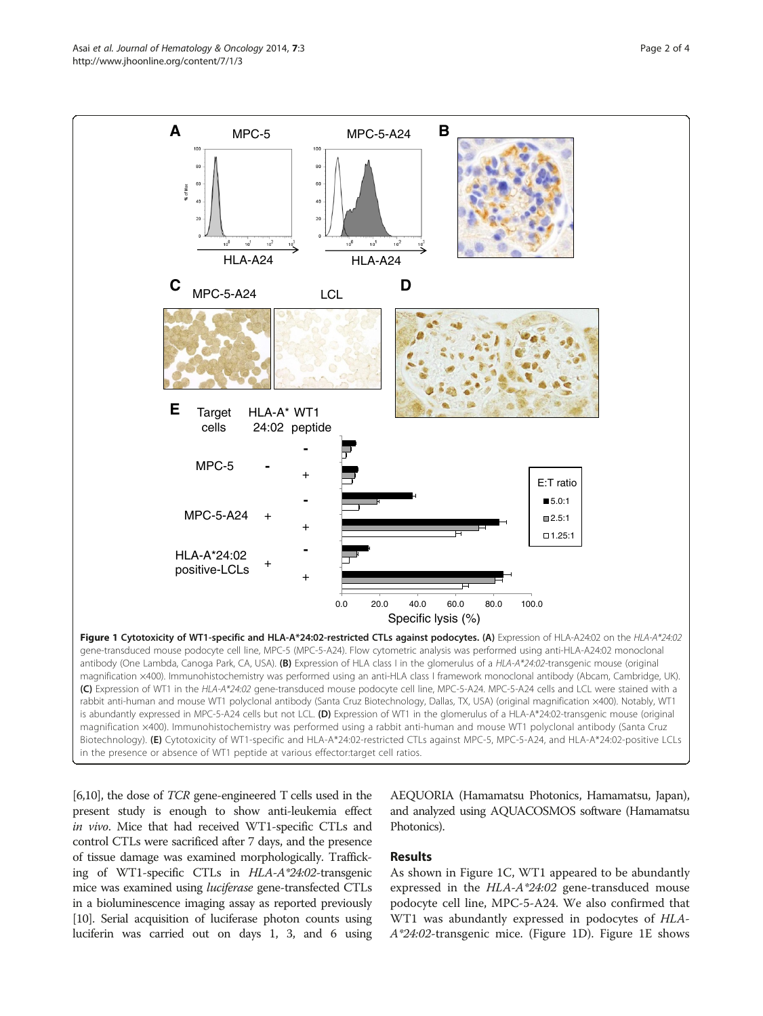<span id="page-1-0"></span>Asai et al. Journal of Hematology & Oncology 2014, 7:3 Page 2 of 4 http://www.jhoonline.org/content/7/1/3



[[6,10\]](#page-3-0), the dose of TCR gene-engineered T cells used in the present study is enough to show anti-leukemia effect in vivo. Mice that had received WT1-specific CTLs and control CTLs were sacrificed after 7 days, and the presence of tissue damage was examined morphologically. Trafficking of WT1-specific CTLs in HLA-A\*24:02-transgenic mice was examined using *luciferase* gene-transfected CTLs in a bioluminescence imaging assay as reported previously [[10](#page-3-0)]. Serial acquisition of luciferase photon counts using luciferin was carried out on days 1, 3, and 6 using

AEQUORIA (Hamamatsu Photonics, Hamamatsu, Japan), and analyzed using AQUACOSMOS software (Hamamatsu Photonics).

## Results

As shown in Figure 1C, WT1 appeared to be abundantly expressed in the HLA-A\*24:02 gene-transduced mouse podocyte cell line, MPC-5-A24. We also confirmed that WT1 was abundantly expressed in podocytes of HLA-A\*24:02-transgenic mice. (Figure 1D). Figure 1E shows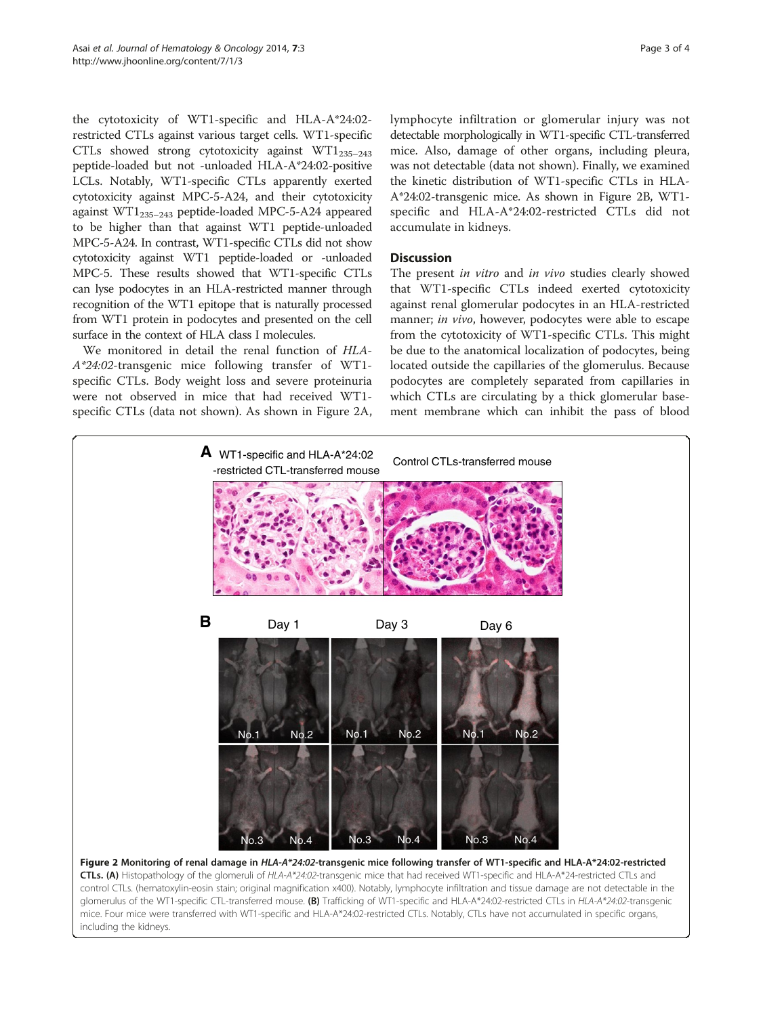the cytotoxicity of WT1-specific and HLA-A\*24:02 restricted CTLs against various target cells. WT1-specific CTLs showed strong cytotoxicity against  $WT1_{235-243}$ peptide-loaded but not -unloaded HLA-A\*24:02-positive LCLs. Notably, WT1-specific CTLs apparently exerted cytotoxicity against MPC-5-A24, and their cytotoxicity against  $WT1_{235-243}$  peptide-loaded MPC-5-A24 appeared to be higher than that against WT1 peptide-unloaded MPC-5-A24. In contrast, WT1-specific CTLs did not show cytotoxicity against WT1 peptide-loaded or -unloaded MPC-5. These results showed that WT1-specific CTLs can lyse podocytes in an HLA-restricted manner through recognition of the WT1 epitope that is naturally processed from WT1 protein in podocytes and presented on the cell surface in the context of HLA class I molecules.

We monitored in detail the renal function of HLA-A\*24:02-transgenic mice following transfer of WT1 specific CTLs. Body weight loss and severe proteinuria were not observed in mice that had received WT1 specific CTLs (data not shown). As shown in Figure 2A, lymphocyte infiltration or glomerular injury was not detectable morphologically in WT1-specific CTL-transferred mice. Also, damage of other organs, including pleura, was not detectable (data not shown). Finally, we examined the kinetic distribution of WT1-specific CTLs in HLA-A\*24:02-transgenic mice. As shown in Figure 2B, WT1 specific and HLA-A\*24:02-restricted CTLs did not accumulate in kidneys.

## **Discussion**

The present in vitro and in vivo studies clearly showed that WT1-specific CTLs indeed exerted cytotoxicity against renal glomerular podocytes in an HLA-restricted manner; in vivo, however, podocytes were able to escape from the cytotoxicity of WT1-specific CTLs. This might be due to the anatomical localization of podocytes, being located outside the capillaries of the glomerulus. Because podocytes are completely separated from capillaries in which CTLs are circulating by a thick glomerular basement membrane which can inhibit the pass of blood



glomerulus of the WT1-specific CTL-transferred mouse. (B) Trafficking of WT1-specific and HLA-A\*24:02-restricted CTLs in HLA-A\*24:02-transgenic mice. Four mice were transferred with WT1-specific and HLA-A\*24:02-restricted CTLs. Notably, CTLs have not accumulated in specific organs, including the kidneys.